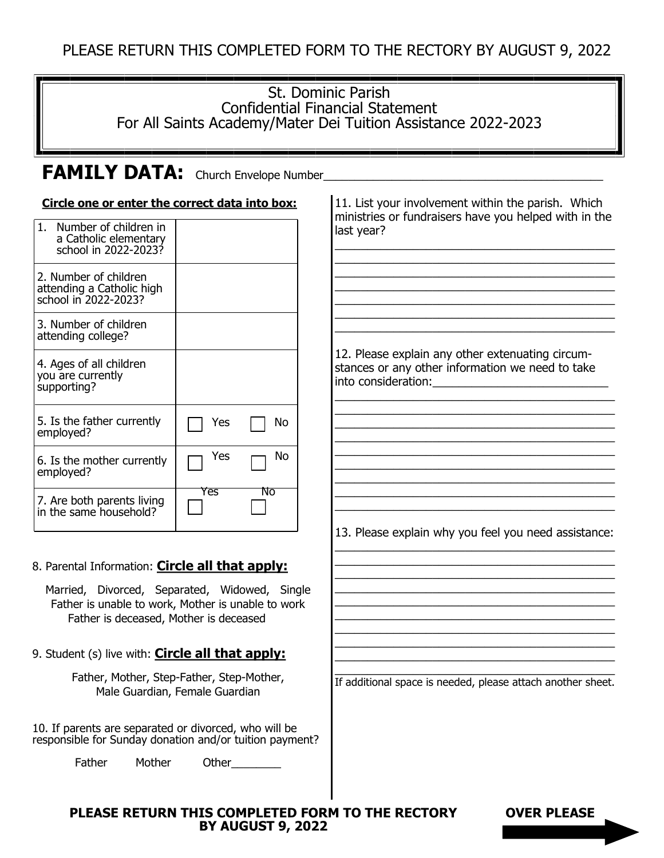### St. Dominic Parish Confidential Financial Statement For All Saints Academy/Mater Dei Tuition Assistance 2022-2023

# FAMILY DATA: Church Envelope Number\_

#### **Circle one or enter the correct data into box:**

| 1. Number of children in<br>a Catholic elementary<br>school in 2022-2023?  |     |    |
|----------------------------------------------------------------------------|-----|----|
| 2. Number of children<br>attending a Catholic high<br>school in 2022-2023? |     |    |
| 3. Number of children<br>attending college?                                |     |    |
| 4. Ages of all children<br>you are currently<br>supporting?                |     |    |
| 5. Is the father currently<br>employed?                                    | Yes | No |
| 6. Is the mother currently<br>employed?                                    | Yes | No |
| 7. Are both parents living<br>in the same household?                       | Yes | Νo |

#### 8. Parental Information: **Circle all that apply:**

Married, Divorced, Separated, Widowed, Single Father is unable to work, Mother is unable to work Father is deceased, Mother is deceased

9. Student (s) live with: **Circle all that apply:** 

Father, Mother, Step-Father, Step-Mother, Male Guardian, Female Guardian

10. If parents are separated or divorced, who will be responsible for Sunday donation and/or tuition payment?

Father Mother Other

11. List your involvement within the parish. Which ministries or fundraisers have you helped with in the last year?

\_\_\_\_\_\_\_\_\_\_\_\_\_\_\_\_\_\_\_\_\_\_\_\_\_\_\_\_\_\_\_\_\_\_\_\_\_\_\_\_\_\_\_ \_\_\_\_\_\_\_\_\_\_\_\_\_\_\_\_\_\_\_\_\_\_\_\_\_\_\_\_\_\_\_\_\_\_\_\_\_\_\_\_\_\_\_ \_\_\_\_\_\_\_\_\_\_\_\_\_\_\_\_\_\_\_\_\_\_\_\_\_\_\_\_\_\_\_\_\_\_\_\_\_\_\_\_\_\_\_ \_\_\_\_\_\_\_\_\_\_\_\_\_\_\_\_\_\_\_\_\_\_\_\_\_\_\_\_\_\_\_\_\_\_\_\_\_\_\_\_\_\_\_ \_\_\_\_\_\_\_\_\_\_\_\_\_\_\_\_\_\_\_\_\_\_\_\_\_\_\_\_\_\_\_\_\_\_\_\_\_\_\_\_\_\_\_ \_\_\_\_\_\_\_\_\_\_\_\_\_\_\_\_\_\_\_\_\_\_\_\_\_\_\_\_\_\_\_\_\_\_\_\_\_\_\_\_\_\_\_ \_\_\_\_\_\_\_\_\_\_\_\_\_\_\_\_\_\_\_\_\_\_\_\_\_\_\_\_\_\_\_\_\_\_\_\_\_\_\_\_\_\_\_

12. Please explain any other extenuating circumstances or any other information we need to take into consideration:

\_\_\_\_\_\_\_\_\_\_\_\_\_\_\_\_\_\_\_\_\_\_\_\_\_\_\_\_\_\_\_\_\_\_\_\_\_\_\_\_\_\_\_ \_\_\_\_\_\_\_\_\_\_\_\_\_\_\_\_\_\_\_\_\_\_\_\_\_\_\_\_\_\_\_\_\_\_\_\_\_\_\_\_\_\_\_ \_\_\_\_\_\_\_\_\_\_\_\_\_\_\_\_\_\_\_\_\_\_\_\_\_\_\_\_\_\_\_\_\_\_\_\_\_\_\_\_\_\_\_ \_\_\_\_\_\_\_\_\_\_\_\_\_\_\_\_\_\_\_\_\_\_\_\_\_\_\_\_\_\_\_\_\_\_\_\_\_\_\_\_\_\_\_ \_\_\_\_\_\_\_\_\_\_\_\_\_\_\_\_\_\_\_\_\_\_\_\_\_\_\_\_\_\_\_\_\_\_\_\_\_\_\_\_\_\_\_ \_\_\_\_\_\_\_\_\_\_\_\_\_\_\_\_\_\_\_\_\_\_\_\_\_\_\_\_\_\_\_\_\_\_\_\_\_\_\_\_\_\_\_ \_\_\_\_\_\_\_\_\_\_\_\_\_\_\_\_\_\_\_\_\_\_\_\_\_\_\_\_\_\_\_\_\_\_\_\_\_\_\_\_\_\_\_ \_\_\_\_\_\_\_\_\_\_\_\_\_\_\_\_\_\_\_\_\_\_\_\_\_\_\_\_\_\_\_\_\_\_\_\_\_\_\_\_\_\_\_ \_\_\_\_\_\_\_\_\_\_\_\_\_\_\_\_\_\_\_\_\_\_\_\_\_\_\_\_\_\_\_\_\_\_\_\_\_\_\_\_\_\_\_

13. Please explain why you feel you need assistance: \_\_\_\_\_\_\_\_\_\_\_\_\_\_\_\_\_\_\_\_\_\_\_\_\_\_\_\_\_\_\_\_\_\_\_\_\_\_\_\_\_\_\_

\_\_\_\_\_\_\_\_\_\_\_\_\_\_\_\_\_\_\_\_\_\_\_\_\_\_\_\_\_\_\_\_\_\_\_\_\_\_\_\_\_\_\_ \_\_\_\_\_\_\_\_\_\_\_\_\_\_\_\_\_\_\_\_\_\_\_\_\_\_\_\_\_\_\_\_\_\_\_\_\_\_\_\_\_\_\_ \_\_\_\_\_\_\_\_\_\_\_\_\_\_\_\_\_\_\_\_\_\_\_\_\_\_\_\_\_\_\_\_\_\_\_\_\_\_\_\_\_\_\_ \_\_\_\_\_\_\_\_\_\_\_\_\_\_\_\_\_\_\_\_\_\_\_\_\_\_\_\_\_\_\_\_\_\_\_\_\_\_\_\_\_\_\_ \_\_\_\_\_\_\_\_\_\_\_\_\_\_\_\_\_\_\_\_\_\_\_\_\_\_\_\_\_\_\_\_\_\_\_\_\_\_\_\_\_\_\_ \_\_\_\_\_\_\_\_\_\_\_\_\_\_\_\_\_\_\_\_\_\_\_\_\_\_\_\_\_\_\_\_\_\_\_\_\_\_\_\_\_\_\_ \_\_\_\_\_\_\_\_\_\_\_\_\_\_\_\_\_\_\_\_\_\_\_\_\_\_\_\_\_\_\_\_\_\_\_\_\_\_\_\_\_\_\_ \_\_\_\_\_\_\_\_\_\_\_\_\_\_\_\_\_\_\_\_\_\_\_\_\_\_\_\_\_\_\_\_\_\_\_\_\_\_\_\_\_\_\_

\_\_\_\_\_\_\_\_\_\_\_\_\_\_\_\_\_\_\_\_\_\_\_\_\_\_\_\_\_\_\_\_\_\_\_\_\_\_\_\_\_\_\_ If additional space is needed, please attach another sheet.

**PLEASE RETURN THIS COMPLETED FORM TO THE RECTORY OVER PLEASE BY AUGUST 9, 2022**